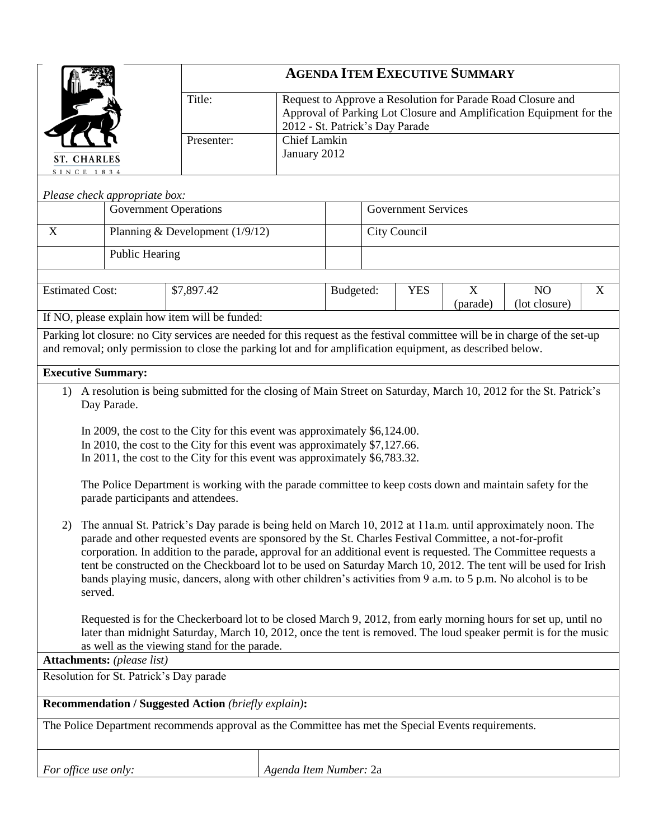|                                                                                                                                                                                                                                                                                                                                                                                                                                                                                                                                                                                                  |                |            | <b>AGENDA ITEM EXECUTIVE SUMMARY</b> |                                                                                                                                                                       |           |            |               |                                 |   |  |
|--------------------------------------------------------------------------------------------------------------------------------------------------------------------------------------------------------------------------------------------------------------------------------------------------------------------------------------------------------------------------------------------------------------------------------------------------------------------------------------------------------------------------------------------------------------------------------------------------|----------------|------------|--------------------------------------|-----------------------------------------------------------------------------------------------------------------------------------------------------------------------|-----------|------------|---------------|---------------------------------|---|--|
|                                                                                                                                                                                                                                                                                                                                                                                                                                                                                                                                                                                                  |                | Title:     |                                      | Request to Approve a Resolution for Parade Road Closure and<br>Approval of Parking Lot Closure and Amplification Equipment for the<br>2012 - St. Patrick's Day Parade |           |            |               |                                 |   |  |
| <b>ST. CHARLES</b><br>SINCE 1834                                                                                                                                                                                                                                                                                                                                                                                                                                                                                                                                                                 |                | Presenter: |                                      | <b>Chief Lamkin</b><br>January 2012                                                                                                                                   |           |            |               |                                 |   |  |
| Please check appropriate box:                                                                                                                                                                                                                                                                                                                                                                                                                                                                                                                                                                    |                |            |                                      |                                                                                                                                                                       |           |            |               |                                 |   |  |
| <b>Government Operations</b>                                                                                                                                                                                                                                                                                                                                                                                                                                                                                                                                                                     |                |            |                                      | <b>Government Services</b>                                                                                                                                            |           |            |               |                                 |   |  |
| Planning & Development $(1/9/12)$<br>X                                                                                                                                                                                                                                                                                                                                                                                                                                                                                                                                                           |                |            |                                      | City Council                                                                                                                                                          |           |            |               |                                 |   |  |
|                                                                                                                                                                                                                                                                                                                                                                                                                                                                                                                                                                                                  | Public Hearing |            |                                      |                                                                                                                                                                       |           |            |               |                                 |   |  |
|                                                                                                                                                                                                                                                                                                                                                                                                                                                                                                                                                                                                  |                |            |                                      |                                                                                                                                                                       |           |            |               |                                 |   |  |
| <b>Estimated Cost:</b>                                                                                                                                                                                                                                                                                                                                                                                                                                                                                                                                                                           |                | \$7,897.42 |                                      |                                                                                                                                                                       | Budgeted: | <b>YES</b> | X<br>(parade) | N <sub>O</sub><br>(lot closure) | X |  |
| If NO, please explain how item will be funded:                                                                                                                                                                                                                                                                                                                                                                                                                                                                                                                                                   |                |            |                                      |                                                                                                                                                                       |           |            |               |                                 |   |  |
| Parking lot closure: no City services are needed for this request as the festival committee will be in charge of the set-up<br>and removal; only permission to close the parking lot and for amplification equipment, as described below.                                                                                                                                                                                                                                                                                                                                                        |                |            |                                      |                                                                                                                                                                       |           |            |               |                                 |   |  |
| <b>Executive Summary:</b>                                                                                                                                                                                                                                                                                                                                                                                                                                                                                                                                                                        |                |            |                                      |                                                                                                                                                                       |           |            |               |                                 |   |  |
| 1) A resolution is being submitted for the closing of Main Street on Saturday, March 10, 2012 for the St. Patrick's                                                                                                                                                                                                                                                                                                                                                                                                                                                                              |                |            |                                      |                                                                                                                                                                       |           |            |               |                                 |   |  |
| Day Parade.                                                                                                                                                                                                                                                                                                                                                                                                                                                                                                                                                                                      |                |            |                                      |                                                                                                                                                                       |           |            |               |                                 |   |  |
| In 2009, the cost to the City for this event was approximately \$6,124.00.<br>In 2010, the cost to the City for this event was approximately \$7,127.66.<br>In 2011, the cost to the City for this event was approximately \$6,783.32.                                                                                                                                                                                                                                                                                                                                                           |                |            |                                      |                                                                                                                                                                       |           |            |               |                                 |   |  |
| The Police Department is working with the parade committee to keep costs down and maintain safety for the<br>parade participants and attendees.                                                                                                                                                                                                                                                                                                                                                                                                                                                  |                |            |                                      |                                                                                                                                                                       |           |            |               |                                 |   |  |
| The annual St. Patrick's Day parade is being held on March 10, 2012 at 11a.m. until approximately noon. The<br>2)<br>parade and other requested events are sponsored by the St. Charles Festival Committee, a not-for-profit<br>corporation. In addition to the parade, approval for an additional event is requested. The Committee requests a<br>tent be constructed on the Checkboard lot to be used on Saturday March 10, 2012. The tent will be used for Irish<br>bands playing music, dancers, along with other children's activities from 9 a.m. to 5 p.m. No alcohol is to be<br>served. |                |            |                                      |                                                                                                                                                                       |           |            |               |                                 |   |  |
| Requested is for the Checkerboard lot to be closed March 9, 2012, from early morning hours for set up, until no<br>later than midnight Saturday, March 10, 2012, once the tent is removed. The loud speaker permit is for the music<br>as well as the viewing stand for the parade.                                                                                                                                                                                                                                                                                                              |                |            |                                      |                                                                                                                                                                       |           |            |               |                                 |   |  |
| <b>Attachments:</b> (please list)                                                                                                                                                                                                                                                                                                                                                                                                                                                                                                                                                                |                |            |                                      |                                                                                                                                                                       |           |            |               |                                 |   |  |
| Resolution for St. Patrick's Day parade                                                                                                                                                                                                                                                                                                                                                                                                                                                                                                                                                          |                |            |                                      |                                                                                                                                                                       |           |            |               |                                 |   |  |
| <b>Recommendation / Suggested Action (briefly explain):</b>                                                                                                                                                                                                                                                                                                                                                                                                                                                                                                                                      |                |            |                                      |                                                                                                                                                                       |           |            |               |                                 |   |  |
| The Police Department recommends approval as the Committee has met the Special Events requirements.                                                                                                                                                                                                                                                                                                                                                                                                                                                                                              |                |            |                                      |                                                                                                                                                                       |           |            |               |                                 |   |  |
| Agenda Item Number: 2a<br>For office use only:                                                                                                                                                                                                                                                                                                                                                                                                                                                                                                                                                   |                |            |                                      |                                                                                                                                                                       |           |            |               |                                 |   |  |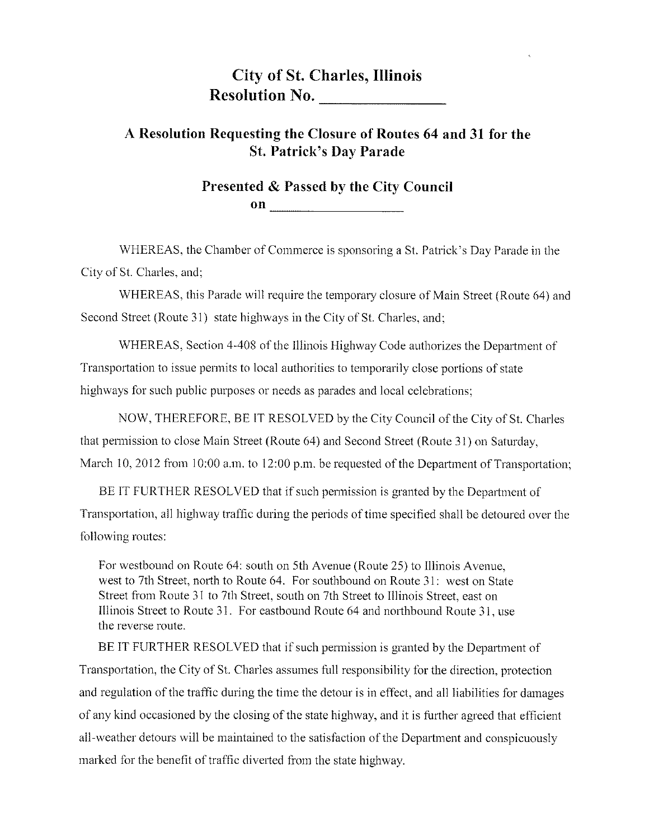## **City of St. Charles, Illinois Resolution No.**

## A Resolution Requesting the Closure of Routes 64 and 31 for the **St. Patrick's Day Parade**

## Presented & Passed by the City Council on  $\qquad \qquad$   $\qquad$   $\qquad$   $\qquad$   $\qquad$   $\qquad$   $\qquad$   $\qquad$   $\qquad$   $\qquad$   $\qquad$   $\qquad$   $\qquad$   $\qquad$   $\qquad$   $\qquad$   $\qquad$   $\qquad$   $\qquad$   $\qquad$   $\qquad$   $\qquad$   $\qquad$   $\qquad$   $\qquad$   $\qquad$   $\qquad$   $\qquad$   $\qquad$   $\qquad$   $\qquad$   $\qquad$   $\qquad$   $\qquad$   $\qquad$   $\qquad$

WHEREAS, the Chamber of Commerce is sponsoring a St. Patrick's Day Parade in the City of St. Charles, and:

WHEREAS, this Parade will require the temporary closure of Main Street (Route 64) and Second Street (Route 31) state highways in the City of St. Charles, and;

WHEREAS, Section 4-408 of the Illinois Highway Code authorizes the Department of Transportation to issue permits to local authorities to temporarily close portions of state highways for such public purposes or needs as parades and local celebrations;

NOW, THEREFORE, BE IT RESOLVED by the City Council of the City of St. Charles that permission to close Main Street (Route 64) and Second Street (Route 31) on Saturday, March 10, 2012 from 10:00 a.m. to 12:00 p.m. be requested of the Department of Transportation;

BE IT FURTHER RESOLVED that if such permission is granted by the Department of Transportation, all highway traffic during the periods of time specified shall be detoured over the following routes:

For westbound on Route 64: south on 5th Avenue (Route 25) to Illinois Avenue, west to 7th Street, north to Route 64. For southbound on Route 31: west on State Street from Route 31 to 7th Street, south on 7th Street to Illinois Street, east on Illinois Street to Route 31. For eastbound Route 64 and northbound Route 31, use the reverse route.

BE IT FURTHER RESOLVED that if such permission is granted by the Department of Transportation, the City of St. Charles assumes full responsibility for the direction, protection and regulation of the traffic during the time the detour is in effect, and all liabilities for damages of any kind occasioned by the closing of the state highway, and it is further agreed that efficient all-weather detours will be maintained to the satisfaction of the Department and conspicuously marked for the benefit of traffic diverted from the state highway.